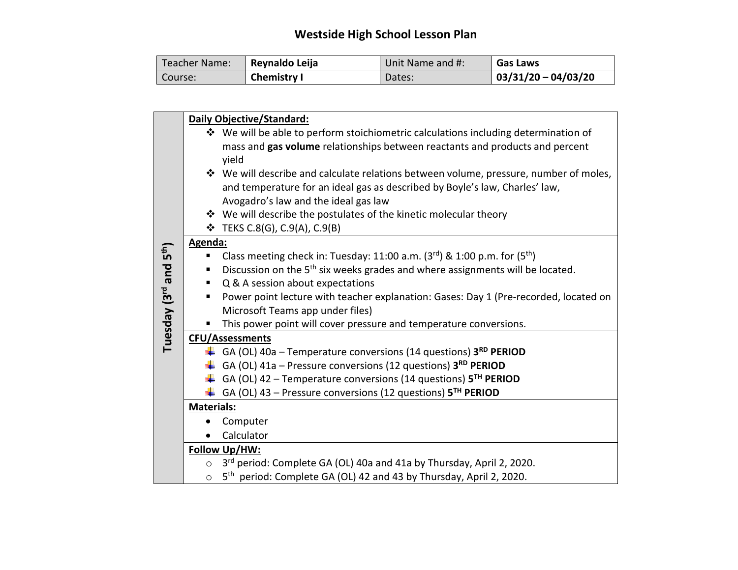## **Westside High School Lesson Plan**

| Teacher Name: | Reynaldo Leija     | Unit Name and #: | <b>Gas Laws</b>        |
|---------------|--------------------|------------------|------------------------|
| Course:       | <b>Chemistry I</b> | Dates:           | $ 03/31/20 - 04/03/20$ |

|                                                |                   | Daily Objective/Standard:                                                                                           |
|------------------------------------------------|-------------------|---------------------------------------------------------------------------------------------------------------------|
|                                                |                   | ❖ We will be able to perform stoichiometric calculations including determination of                                 |
|                                                |                   | mass and gas volume relationships between reactants and products and percent                                        |
|                                                |                   | yield                                                                                                               |
|                                                |                   | ❖ We will describe and calculate relations between volume, pressure, number of moles,                               |
|                                                |                   | and temperature for an ideal gas as described by Boyle's law, Charles' law,<br>Avogadro's law and the ideal gas law |
|                                                |                   | ❖ We will describe the postulates of the kinetic molecular theory                                                   |
|                                                |                   | $\div$ TEKS C.8(G), C.9(A), C.9(B)                                                                                  |
|                                                | Agenda:           |                                                                                                                     |
|                                                |                   | Class meeting check in: Tuesday: 11:00 a.m. $(3^{rd})$ & 1:00 p.m. for $(5^{th})$                                   |
|                                                |                   | Discussion on the 5 <sup>th</sup> six weeks grades and where assignments will be located.                           |
|                                                | ٠                 | Q & A session about expectations                                                                                    |
| Tuesday (3 <sup>rd</sup> and 5 <sup>th</sup> ) | ٠                 | Power point lecture with teacher explanation: Gases: Day 1 (Pre-recorded, located on                                |
|                                                |                   | Microsoft Teams app under files)                                                                                    |
|                                                |                   | This power point will cover pressure and temperature conversions.                                                   |
|                                                |                   | <b>CFU/Assessments</b>                                                                                              |
|                                                |                   | GA (OL) 40a - Temperature conversions (14 questions) 3RD PERIOD                                                     |
|                                                |                   | $\downarrow$ GA (OL) 41a – Pressure conversions (12 questions) 3 <sup>RD</sup> PERIOD                               |
|                                                |                   | $\downarrow$ GA (OL) 42 – Temperature conversions (14 questions) 5 <sup>TH</sup> PERIOD                             |
|                                                |                   | $\downarrow$ GA (OL) 43 – Pressure conversions (12 questions) 5 <sup>TH</sup> PERIOD                                |
|                                                | <b>Materials:</b> |                                                                                                                     |
|                                                |                   | Computer                                                                                                            |
|                                                |                   | Calculator                                                                                                          |
|                                                |                   | Follow Up/HW:                                                                                                       |
|                                                | $\circ$           | 3rd period: Complete GA (OL) 40a and 41a by Thursday, April 2, 2020.                                                |
|                                                | $\circ$           | 5 <sup>th</sup> period: Complete GA (OL) 42 and 43 by Thursday, April 2, 2020.                                      |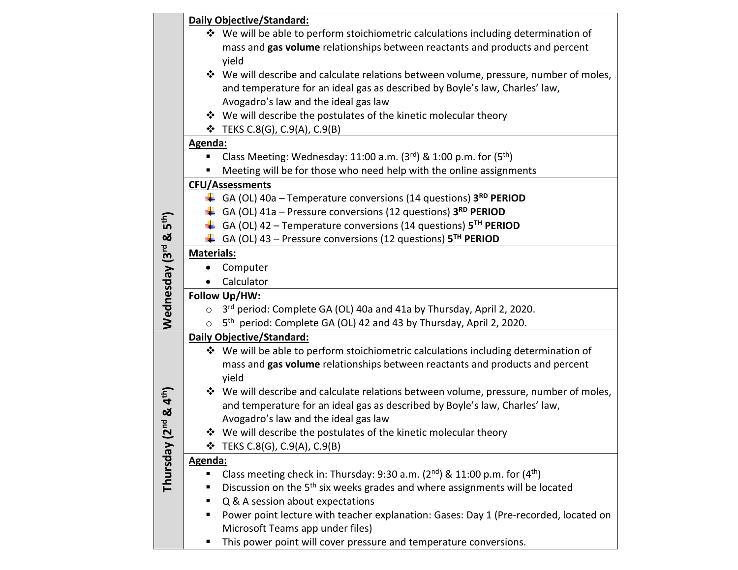|                                    |                   | <b>Daily Objective/Standard:</b>                                                          |
|------------------------------------|-------------------|-------------------------------------------------------------------------------------------|
|                                    |                   | ❖ We will be able to perform stoichiometric calculations including determination of       |
|                                    |                   | mass and gas volume relationships between reactants and products and percent              |
|                                    |                   | yield                                                                                     |
|                                    |                   | ❖ We will describe and calculate relations between volume, pressure, number of moles,     |
|                                    |                   | and temperature for an ideal gas as described by Boyle's law, Charles' law,               |
|                                    |                   | Avogadro's law and the ideal gas law                                                      |
|                                    |                   | ❖ We will describe the postulates of the kinetic molecular theory                         |
|                                    |                   | $\div$ TEKS C.8(G), C.9(A), C.9(B)                                                        |
|                                    | Agenda:           |                                                                                           |
|                                    |                   | Class Meeting: Wednesday: 11:00 a.m. $(3^{rd})$ & 1:00 p.m. for $(5^{th})$                |
|                                    |                   | Meeting will be for those who need help with the online assignments                       |
|                                    |                   | <b>CFU/Assessments</b>                                                                    |
|                                    |                   | $\downarrow$ GA (OL) 40a – Temperature conversions (14 questions) 3 <sup>RD</sup> PERIOD  |
|                                    |                   | GA (OL) $41a$ – Pressure conversions (12 questions) $3^{RD}$ PERIOD                       |
|                                    |                   | GA (OL) 42 – Temperature conversions (14 questions) $5TH$ PERIOD                          |
|                                    |                   | $\downarrow$ GA (OL) 43 – Pressure conversions (12 questions) 5 <sup>TH</sup> PERIOD      |
|                                    | <b>Materials:</b> |                                                                                           |
|                                    |                   | Computer                                                                                  |
| Wednesday (3rd & 5 <sup>th</sup> ) |                   | Calculator                                                                                |
|                                    |                   | Follow Up/HW:                                                                             |
|                                    | $\circ$           | 3 <sup>rd</sup> period: Complete GA (OL) 40a and 41a by Thursday, April 2, 2020.          |
|                                    | $\circ$           | 5 <sup>th</sup> period: Complete GA (OL) 42 and 43 by Thursday, April 2, 2020.            |
|                                    |                   | <b>Daily Objective/Standard:</b>                                                          |
|                                    |                   | $\dots$ We will be able to perform stoichiometric calculations including determination of |
|                                    |                   | mass and gas volume relationships between reactants and products and percent              |
|                                    |                   | yield                                                                                     |
| & 4 <sup>th</sup> )                |                   | ❖ We will describe and calculate relations between volume, pressure, number of moles,     |
|                                    |                   | and temperature for an ideal gas as described by Boyle's law, Charles' law,               |
| p                                  |                   | Avogadro's law and the ideal gas law                                                      |
|                                    |                   | We will describe the postulates of the kinetic molecular theory                           |
|                                    | ❖                 | TEKS C.8(G), C.9(A), C.9(B)                                                               |
| Thursday (2                        | Agenda:           |                                                                                           |
|                                    |                   | Class meeting check in: Thursday: 9:30 a.m. (2nd) & 11:00 p.m. for (4 <sup>th</sup> )     |
|                                    |                   | Discussion on the 5 <sup>th</sup> six weeks grades and where assignments will be located  |
|                                    |                   | Q & A session about expectations                                                          |
|                                    |                   | Power point lecture with teacher explanation: Gases: Day 1 (Pre-recorded, located on      |
|                                    |                   | Microsoft Teams app under files)                                                          |
|                                    |                   | This power point will cover pressure and temperature conversions.                         |